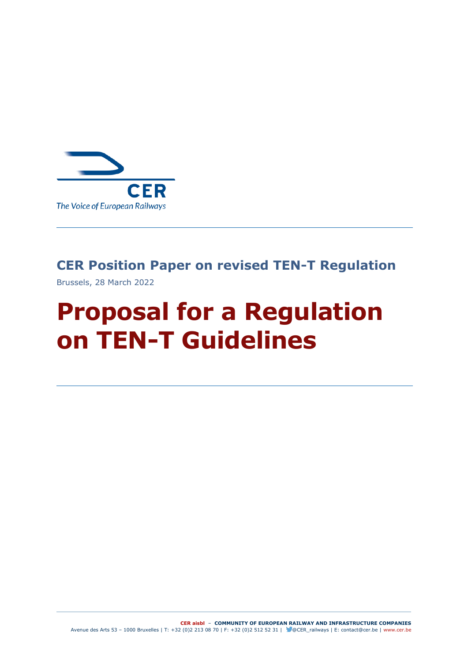

# **CER Position Paper on revised TEN-T Regulation**

Brussels, 28 March 2022

# **Proposal for a Regulation on TEN-T Guidelines**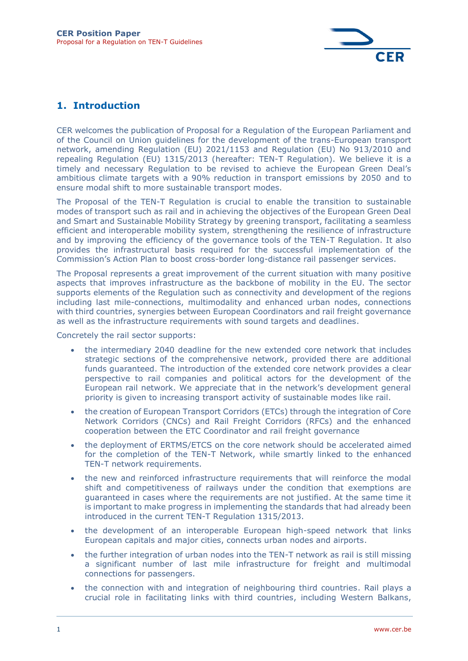

### **1. Introduction**

CER welcomes the publication of Proposal for a Regulation of the European Parliament and of the Council on Union guidelines for the development of the trans-European transport network, amending Regulation (EU) 2021/1153 and Regulation (EU) No 913/2010 and repealing Regulation (EU) 1315/2013 (hereafter: TEN-T Regulation). We believe it is a timely and necessary Regulation to be revised to achieve the European Green Deal's ambitious climate targets with a 90% reduction in transport emissions by 2050 and to ensure modal shift to more sustainable transport modes.

The Proposal of the TEN-T Regulation is crucial to enable the transition to sustainable modes of transport such as rail and in achieving the objectives of the European Green Deal and Smart and Sustainable Mobility Strategy by greening transport, facilitating a seamless efficient and interoperable mobility system, strengthening the resilience of infrastructure and by improving the efficiency of the governance tools of the TEN-T Regulation. It also provides the infrastructural basis required for the successful implementation of the Commission's Action Plan to boost cross-border long-distance rail passenger services.

The Proposal represents a great improvement of the current situation with many positive aspects that improves infrastructure as the backbone of mobility in the EU. The sector supports elements of the Regulation such as connectivity and development of the regions including last mile-connections, multimodality and enhanced urban nodes, connections with third countries, synergies between European Coordinators and rail freight governance as well as the infrastructure requirements with sound targets and deadlines.

Concretely the rail sector supports:

- the intermediary 2040 deadline for the new extended core network that includes strategic sections of the comprehensive network, provided there are additional funds guaranteed. The introduction of the extended core network provides a clear perspective to rail companies and political actors for the development of the European rail network. We appreciate that in the network's development general priority is given to increasing transport activity of sustainable modes like rail.
- the creation of European Transport Corridors (ETCs) through the integration of Core Network Corridors (CNCs) and Rail Freight Corridors (RFCs) and the enhanced cooperation between the ETC Coordinator and rail freight governance
- the deployment of ERTMS/ETCS on the core network should be accelerated aimed for the completion of the TEN-T Network, while smartly linked to the enhanced TEN-T network requirements.
- the new and reinforced infrastructure requirements that will reinforce the modal shift and competitiveness of railways under the condition that exemptions are guaranteed in cases where the requirements are not justified. At the same time it is important to make progress in implementing the standards that had already been introduced in the current TEN-T Regulation 1315/2013.
- the development of an interoperable European high-speed network that links European capitals and major cities, connects urban nodes and airports.
- the further integration of urban nodes into the TEN-T network as rail is still missing a significant number of last mile infrastructure for freight and multimodal connections for passengers.
- the connection with and integration of neighbouring third countries. Rail plays a crucial role in facilitating links with third countries, including Western Balkans,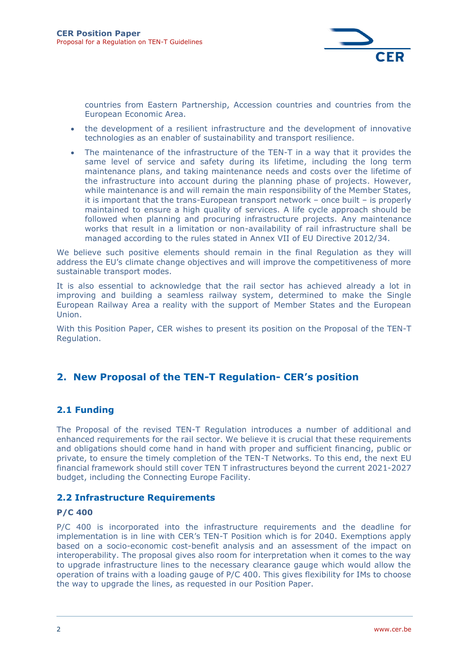

countries from Eastern Partnership, Accession countries and countries from the European Economic Area.

- the development of a resilient infrastructure and the development of innovative technologies as an enabler of sustainability and transport resilience.
- The maintenance of the infrastructure of the TEN-T in a way that it provides the same level of service and safety during its lifetime, including the long term maintenance plans, and taking maintenance needs and costs over the lifetime of the infrastructure into account during the planning phase of projects. However, while maintenance is and will remain the main responsibility of the Member States, it is important that the trans-European transport network – once built – is properly maintained to ensure a high quality of services. A life cycle approach should be followed when planning and procuring infrastructure projects. Any maintenance works that result in a limitation or non-availability of rail infrastructure shall be managed according to the rules stated in Annex VII of EU Directive 2012/34.

We believe such positive elements should remain in the final Regulation as they will address the EU's climate change objectives and will improve the competitiveness of more sustainable transport modes.

It is also essential to acknowledge that the rail sector has achieved already a lot in improving and building a seamless railway system, determined to make the Single European Railway Area a reality with the support of Member States and the European Union.

With this Position Paper, CER wishes to present its position on the Proposal of the TEN-T Regulation.

## **2. New Proposal of the TEN-T Regulation- CER's position**

#### **2.1 Funding**

The Proposal of the revised TEN-T Regulation introduces a number of additional and enhanced requirements for the rail sector. We believe it is crucial that these requirements and obligations should come hand in hand with proper and sufficient financing, public or private, to ensure the timely completion of the TEN-T Networks. To this end, the next EU financial framework should still cover TEN T infrastructures beyond the current 2021-2027 budget, including the Connecting Europe Facility.

#### **2.2 Infrastructure Requirements**

#### **P/C 400**

P/C 400 is incorporated into the infrastructure requirements and the deadline for implementation is in line with CER's TEN-T Position which is for 2040. Exemptions apply based on a socio-economic cost-benefit analysis and an assessment of the impact on interoperability. The proposal gives also room for interpretation when it comes to the way to upgrade infrastructure lines to the necessary clearance gauge which would allow the operation of trains with a loading gauge of P/C 400. This gives flexibility for IMs to choose the way to upgrade the lines, as requested in our Position Paper.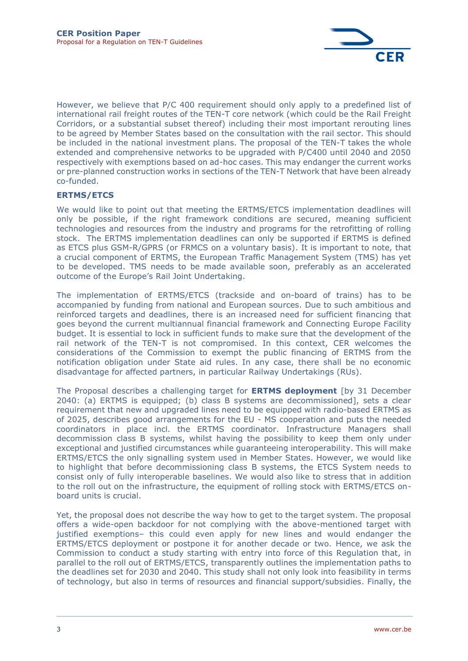

However, we believe that P/C 400 requirement should only apply to a predefined list of international rail freight routes of the TEN-T core network (which could be the Rail Freight Corridors, or a substantial subset thereof) including their most important rerouting lines to be agreed by Member States based on the consultation with the rail sector. This should be included in the national investment plans. The proposal of the TEN-T takes the whole extended and comprehensive networks to be upgraded with P/C400 until 2040 and 2050 respectively with exemptions based on ad-hoc cases. This may endanger the current works or pre-planned construction works in sections of the TEN-T Network that have been already co-funded.

#### **ERTMS/ETCS**

We would like to point out that meeting the ERTMS/ETCS implementation deadlines will only be possible, if the right framework conditions are secured, meaning sufficient technologies and resources from the industry and programs for the retrofitting of rolling stock. The ERTMS implementation deadlines can only be supported if ERTMS is defined as ETCS plus GSM-R/GPRS (or FRMCS on a voluntary basis). It is important to note, that a crucial component of ERTMS, the European Traffic Management System (TMS) has yet to be developed. TMS needs to be made available soon, preferably as an accelerated outcome of the Europe's Rail Joint Undertaking.

The implementation of ERTMS/ETCS (trackside and on-board of trains) has to be accompanied by funding from national and European sources. Due to such ambitious and reinforced targets and deadlines, there is an increased need for sufficient financing that goes beyond the current multiannual financial framework and Connecting Europe Facility budget. It is essential to lock in sufficient funds to make sure that the development of the rail network of the TEN-T is not compromised. In this context, CER welcomes the considerations of the Commission to exempt the public financing of ERTMS from the notification obligation under State aid rules. In any case, there shall be no economic disadvantage for affected partners, in particular Railway Undertakings (RUs).

The Proposal describes a challenging target for **ERTMS deployment** [by 31 December 2040: (a) ERTMS is equipped; (b) class B systems are decommissioned], sets a clear requirement that new and upgraded lines need to be equipped with radio-based ERTMS as of 2025, describes good arrangements for the EU - MS cooperation and puts the needed coordinators in place incl. the ERTMS coordinator. Infrastructure Managers shall decommission class B systems, whilst having the possibility to keep them only under exceptional and justified circumstances while guaranteeing interoperability. This will make ERTMS/ETCS the only signalling system used in Member States. However, we would like to highlight that before decommissioning class B systems, the ETCS System needs to consist only of fully interoperable baselines. We would also like to stress that in addition to the roll out on the infrastructure, the equipment of rolling stock with ERTMS/ETCS onboard units is crucial.

Yet, the proposal does not describe the way how to get to the target system. The proposal offers a wide-open backdoor for not complying with the above-mentioned target with justified exemptions– this could even apply for new lines and would endanger the ERTMS/ETCS deployment or postpone it for another decade or two. Hence, we ask the Commission to conduct a study starting with entry into force of this Regulation that, in parallel to the roll out of ERTMS/ETCS, transparently outlines the implementation paths to the deadlines set for 2030 and 2040. This study shall not only look into feasibility in terms of technology, but also in terms of resources and financial support/subsidies. Finally, the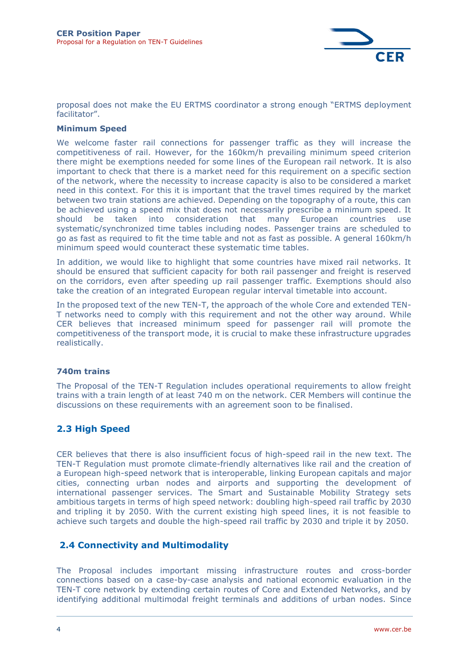

proposal does not make the EU ERTMS coordinator a strong enough "ERTMS deployment facilitator".

#### **Minimum Speed**

We welcome faster rail connections for passenger traffic as they will increase the competitiveness of rail. However, for the 160km/h prevailing minimum speed criterion there might be exemptions needed for some lines of the European rail network. It is also important to check that there is a market need for this requirement on a specific section of the network, where the necessity to increase capacity is also to be considered a market need in this context. For this it is important that the travel times required by the market between two train stations are achieved. Depending on the topography of a route, this can be achieved using a speed mix that does not necessarily prescribe a minimum speed. It should be taken into consideration that many European countries use systematic/synchronized time tables including nodes. Passenger trains are scheduled to go as fast as required to fit the time table and not as fast as possible. A general 160km/h minimum speed would counteract these systematic time tables.

In addition, we would like to highlight that some countries have mixed rail networks. It should be ensured that sufficient capacity for both rail passenger and freight is reserved on the corridors, even after speeding up rail passenger traffic. Exemptions should also take the creation of an integrated European regular interval timetable into account.

In the proposed text of the new TEN-T, the approach of the whole Core and extended TEN-T networks need to comply with this requirement and not the other way around. While CER believes that increased minimum speed for passenger rail will promote the competitiveness of the transport mode, it is crucial to make these infrastructure upgrades realistically.

#### **740m trains**

The Proposal of the TEN-T Regulation includes operational requirements to allow freight trains with a train length of at least 740 m on the network. CER Members will continue the discussions on these requirements with an agreement soon to be finalised.

#### **2.3 High Speed**

CER believes that there is also insufficient focus of high-speed rail in the new text. The TEN-T Regulation must promote climate-friendly alternatives like rail and the creation of a European high-speed network that is interoperable, linking European capitals and major cities, connecting urban nodes and airports and supporting the development of international passenger services. The Smart and Sustainable Mobility Strategy sets ambitious targets in terms of high speed network: doubling high-speed rail traffic by 2030 and tripling it by 2050. With the current existing high speed lines, it is not feasible to achieve such targets and double the high-speed rail traffic by 2030 and triple it by 2050.

#### **2.4 Connectivity and Multimodality**

The Proposal includes important missing infrastructure routes and cross-border connections based on a case-by-case analysis and national economic evaluation in the TEN-T core network by extending certain routes of Core and Extended Networks, and by identifying additional multimodal freight terminals and additions of urban nodes. Since